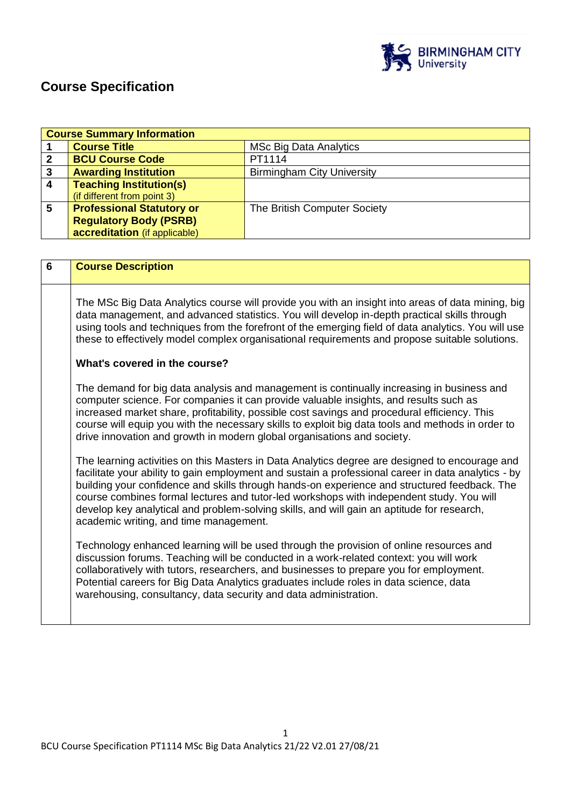

# **Course Specification**

|                         | <b>Course Summary Information</b>                                                                                                                                                                                                                                                                                                                                                                                                                                                                                                         |                                   |  |  |
|-------------------------|-------------------------------------------------------------------------------------------------------------------------------------------------------------------------------------------------------------------------------------------------------------------------------------------------------------------------------------------------------------------------------------------------------------------------------------------------------------------------------------------------------------------------------------------|-----------------------------------|--|--|
| 1                       | <b>Course Title</b>                                                                                                                                                                                                                                                                                                                                                                                                                                                                                                                       | <b>MSc Big Data Analytics</b>     |  |  |
| $\overline{2}$          | <b>BCU Course Code</b>                                                                                                                                                                                                                                                                                                                                                                                                                                                                                                                    | PT1114                            |  |  |
| $\mathbf{3}$            | <b>Awarding Institution</b>                                                                                                                                                                                                                                                                                                                                                                                                                                                                                                               | <b>Birmingham City University</b> |  |  |
| $\overline{\mathbf{4}}$ | <b>Teaching Institution(s)</b>                                                                                                                                                                                                                                                                                                                                                                                                                                                                                                            |                                   |  |  |
|                         | (if different from point 3)                                                                                                                                                                                                                                                                                                                                                                                                                                                                                                               |                                   |  |  |
| 5                       | <b>Professional Statutory or</b>                                                                                                                                                                                                                                                                                                                                                                                                                                                                                                          | The British Computer Society      |  |  |
|                         | <b>Regulatory Body (PSRB)</b>                                                                                                                                                                                                                                                                                                                                                                                                                                                                                                             |                                   |  |  |
|                         | accreditation (if applicable)                                                                                                                                                                                                                                                                                                                                                                                                                                                                                                             |                                   |  |  |
|                         |                                                                                                                                                                                                                                                                                                                                                                                                                                                                                                                                           |                                   |  |  |
| $6\phantom{1}$          | <b>Course Description</b>                                                                                                                                                                                                                                                                                                                                                                                                                                                                                                                 |                                   |  |  |
|                         |                                                                                                                                                                                                                                                                                                                                                                                                                                                                                                                                           |                                   |  |  |
|                         |                                                                                                                                                                                                                                                                                                                                                                                                                                                                                                                                           |                                   |  |  |
|                         | The MSc Big Data Analytics course will provide you with an insight into areas of data mining, big<br>data management, and advanced statistics. You will develop in-depth practical skills through<br>using tools and techniques from the forefront of the emerging field of data analytics. You will use<br>these to effectively model complex organisational requirements and propose suitable solutions.                                                                                                                                |                                   |  |  |
|                         | What's covered in the course?                                                                                                                                                                                                                                                                                                                                                                                                                                                                                                             |                                   |  |  |
|                         | The demand for big data analysis and management is continually increasing in business and<br>computer science. For companies it can provide valuable insights, and results such as<br>increased market share, profitability, possible cost savings and procedural efficiency. This<br>course will equip you with the necessary skills to exploit big data tools and methods in order to<br>drive innovation and growth in modern global organisations and society.                                                                        |                                   |  |  |
|                         | The learning activities on this Masters in Data Analytics degree are designed to encourage and<br>facilitate your ability to gain employment and sustain a professional career in data analytics - by<br>building your confidence and skills through hands-on experience and structured feedback. The<br>course combines formal lectures and tutor-led workshops with independent study. You will<br>develop key analytical and problem-solving skills, and will gain an aptitude for research,<br>academic writing, and time management. |                                   |  |  |
|                         | Technology enhanced learning will be used through the provision of online resources and<br>discussion forums. Teaching will be conducted in a work-related context: you will work<br>collaboratively with tutors, researchers, and businesses to prepare you for employment.<br>Potential careers for Big Data Analytics graduates include roles in data science, data<br>warehousing, consultancy, data security and data administration.                                                                                                |                                   |  |  |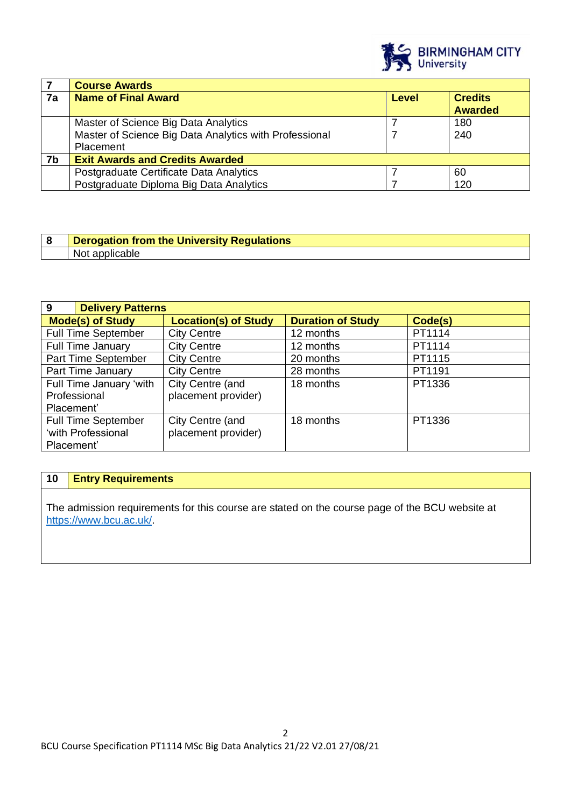

|    | <b>Course Awards</b>                                   |              |                                  |
|----|--------------------------------------------------------|--------------|----------------------------------|
| 7a | <b>Name of Final Award</b>                             | <b>Level</b> | <b>Credits</b><br><b>Awarded</b> |
|    |                                                        |              |                                  |
|    | Master of Science Big Data Analytics                   |              | 180                              |
|    | Master of Science Big Data Analytics with Professional |              | 240                              |
|    | Placement                                              |              |                                  |
| 7b | <b>Exit Awards and Credits Awarded</b>                 |              |                                  |
|    | Postgraduate Certificate Data Analytics                |              | 60                               |
|    | Postgraduate Diploma Big Data Analytics                |              | 120                              |

| Derogation from the University Regulations |
|--------------------------------------------|
| . Not<br>able<br>:רור                      |

| 9                          | <b>Delivery Patterns</b>    |                          |         |  |
|----------------------------|-----------------------------|--------------------------|---------|--|
| <b>Mode(s) of Study</b>    | <b>Location(s) of Study</b> | <b>Duration of Study</b> | Code(s) |  |
| <b>Full Time September</b> | <b>City Centre</b>          | 12 months                | PT1114  |  |
| <b>Full Time January</b>   | <b>City Centre</b>          | 12 months                | PT1114  |  |
| Part Time September        | <b>City Centre</b>          | 20 months                | PT1115  |  |
| Part Time January          | <b>City Centre</b>          | 28 months                | PT1191  |  |
| Full Time January 'with    | City Centre (and            | 18 months                | PT1336  |  |
| Professional               | placement provider)         |                          |         |  |
| Placement'                 |                             |                          |         |  |
| <b>Full Time September</b> | City Centre (and            | 18 months                | PT1336  |  |
| 'with Professional         | placement provider)         |                          |         |  |
| Placement'                 |                             |                          |         |  |

# **10 Entry Requirements**

The admission requirements for this course are stated on the course page of the BCU website at <https://www.bcu.ac.uk/>.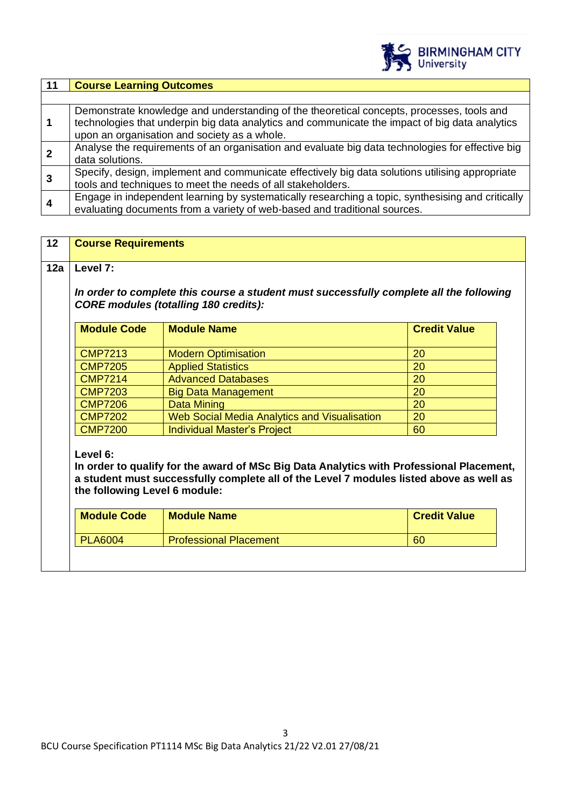

| 11 | <b>Course Learning Outcomes</b>                                                                                                                                                                                                             |
|----|---------------------------------------------------------------------------------------------------------------------------------------------------------------------------------------------------------------------------------------------|
|    |                                                                                                                                                                                                                                             |
|    | Demonstrate knowledge and understanding of the theoretical concepts, processes, tools and<br>technologies that underpin big data analytics and communicate the impact of big data analytics<br>upon an organisation and society as a whole. |
|    | Analyse the requirements of an organisation and evaluate big data technologies for effective big<br>data solutions.                                                                                                                         |
|    | Specify, design, implement and communicate effectively big data solutions utilising appropriate<br>tools and techniques to meet the needs of all stakeholders.                                                                              |
| 4  | Engage in independent learning by systematically researching a topic, synthesising and critically<br>evaluating documents from a variety of web-based and traditional sources.                                                              |

| 12                                           | <b>Course Requirements</b>                                                                                                                                                                                                       |                                                                                         |                     |  |
|----------------------------------------------|----------------------------------------------------------------------------------------------------------------------------------------------------------------------------------------------------------------------------------|-----------------------------------------------------------------------------------------|---------------------|--|
| 12a                                          | Level 7:                                                                                                                                                                                                                         |                                                                                         |                     |  |
|                                              |                                                                                                                                                                                                                                  |                                                                                         |                     |  |
|                                              |                                                                                                                                                                                                                                  | In order to complete this course a student must successfully complete all the following |                     |  |
|                                              |                                                                                                                                                                                                                                  | <b>CORE modules (totalling 180 credits):</b>                                            |                     |  |
|                                              | <b>Module Code</b>                                                                                                                                                                                                               | <b>Module Name</b>                                                                      | <b>Credit Value</b> |  |
|                                              |                                                                                                                                                                                                                                  |                                                                                         |                     |  |
|                                              | <b>CMP7213</b>                                                                                                                                                                                                                   | <b>Modern Optimisation</b>                                                              | 20                  |  |
|                                              | <b>CMP7205</b>                                                                                                                                                                                                                   | <b>Applied Statistics</b>                                                               | 20                  |  |
|                                              | <b>CMP7214</b>                                                                                                                                                                                                                   | <b>Advanced Databases</b>                                                               | 20                  |  |
| <b>CMP7203</b><br><b>Big Data Management</b> |                                                                                                                                                                                                                                  | 20                                                                                      |                     |  |
|                                              | <b>CMP7206</b>                                                                                                                                                                                                                   | <b>Data Mining</b>                                                                      | 20                  |  |
|                                              | Web Social Media Analytics and Visualisation<br><b>CMP7202</b>                                                                                                                                                                   |                                                                                         | 20                  |  |
|                                              | <b>CMP7200</b>                                                                                                                                                                                                                   | <b>Individual Master's Project</b>                                                      | 60                  |  |
|                                              | Level 6:<br>In order to qualify for the award of MSc Big Data Analytics with Professional Placement,<br>a student must successfully complete all of the Level 7 modules listed above as well as<br>the following Level 6 module: |                                                                                         |                     |  |
|                                              | <b>Module Code</b>                                                                                                                                                                                                               | <b>Module Name</b>                                                                      | <b>Credit Value</b> |  |
|                                              | <b>PLA6004</b>                                                                                                                                                                                                                   | <b>Professional Placement</b>                                                           | 60                  |  |
|                                              |                                                                                                                                                                                                                                  |                                                                                         |                     |  |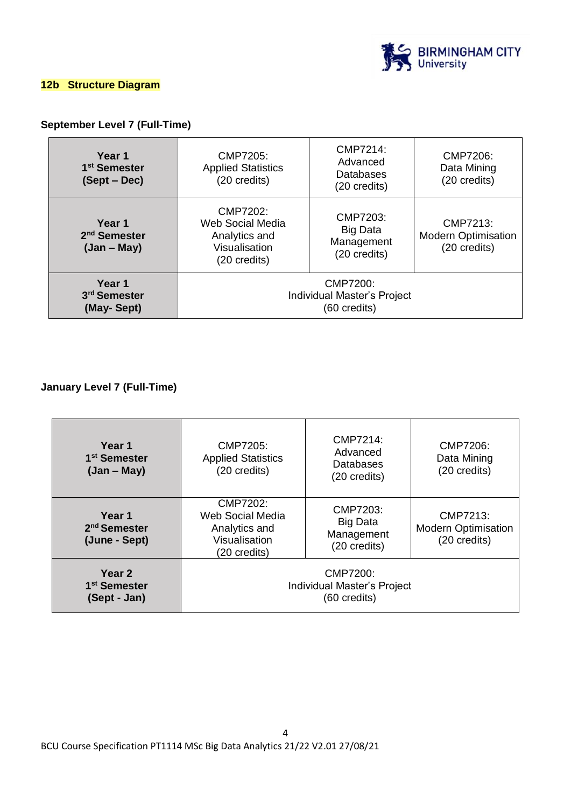

#### **12b Structure Diagram**

### **September Level 7 (Full-Time)**

| Year 1<br>1 <sup>st</sup> Semester<br>(Sept – Dec)  | CMP7205:<br><b>Applied Statistics</b><br>(20 credits)                          | CMP7214:<br>Advanced<br>Databases<br>(20 credits)         | CMP7206:<br>Data Mining<br>(20 credits)                |
|-----------------------------------------------------|--------------------------------------------------------------------------------|-----------------------------------------------------------|--------------------------------------------------------|
| Year 1<br>2 <sup>nd</sup> Semester<br>$(Jan - May)$ | CMP7202:<br>Web Social Media<br>Analytics and<br>Visualisation<br>(20 credits) | CMP7203:<br><b>Big Data</b><br>Management<br>(20 credits) | CMP7213:<br><b>Modern Optimisation</b><br>(20 credits) |
| Year 1<br>3 <sup>rd</sup> Semester<br>(May-Sept)    | CMP7200:<br>Individual Master's Project<br>(60 credits)                        |                                                           |                                                        |

# **January Level 7 (Full-Time)**

| Year 1<br>1 <sup>st</sup> Semester<br>$(Jan - May)$ | CMP7205:<br><b>Applied Statistics</b><br>(20 credits)                          | CMP7214:<br>Advanced<br>Databases<br>(20 credits)         | CMP7206:<br>Data Mining<br>(20 credits)                |
|-----------------------------------------------------|--------------------------------------------------------------------------------|-----------------------------------------------------------|--------------------------------------------------------|
| Year 1<br>2 <sup>nd</sup> Semester<br>(June - Sept) | CMP7202:<br>Web Social Media<br>Analytics and<br>Visualisation<br>(20 credits) | CMP7203:<br><b>Big Data</b><br>Management<br>(20 credits) | CMP7213:<br><b>Modern Optimisation</b><br>(20 credits) |
| Year 2<br>1 <sup>st</sup> Semester<br>(Sept - Jan)  | CMP7200:<br>Individual Master's Project<br>(60 credits)                        |                                                           |                                                        |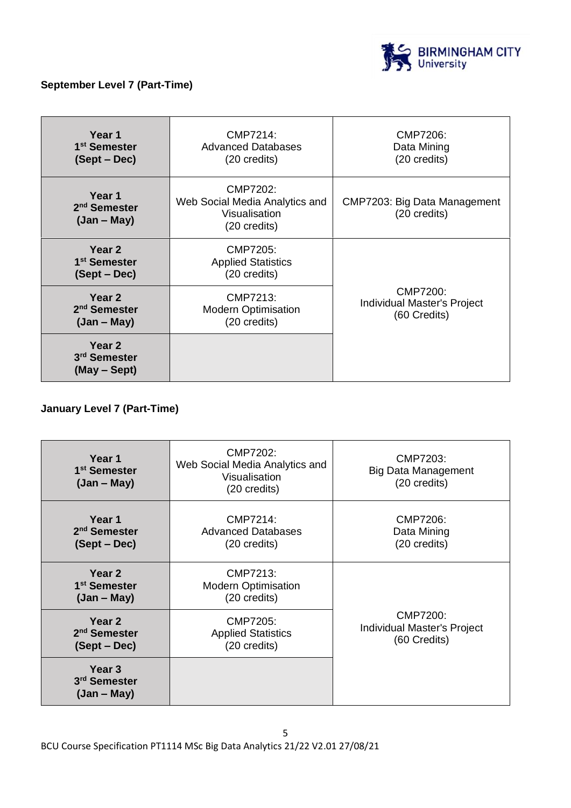

### **September Level 7 (Part-Time)**

| Year 1<br>1 <sup>st</sup> Semester<br>(Sept – Dec)  | CMP7214:<br><b>Advanced Databases</b><br>(20 credits)                       | CMP7206:<br>Data Mining<br>(20 credits)                        |
|-----------------------------------------------------|-----------------------------------------------------------------------------|----------------------------------------------------------------|
| Year 1<br>2 <sup>nd</sup> Semester<br>$(Jan - May)$ | CMP7202:<br>Web Social Media Analytics and<br>Visualisation<br>(20 credits) | CMP7203: Big Data Management<br>(20 credits)                   |
| Year 2<br>1 <sup>st</sup> Semester<br>(Sept – Dec)  | CMP7205:<br><b>Applied Statistics</b><br>(20 credits)                       |                                                                |
| Year 2<br>2 <sup>nd</sup> Semester<br>$(Jan - May)$ | CMP7213:<br><b>Modern Optimisation</b><br>(20 credits)                      | CMP7200:<br><b>Individual Master's Project</b><br>(60 Credits) |
| Year 2<br>3 <sup>rd</sup> Semester<br>(May – Sept)  |                                                                             |                                                                |

# **January Level 7 (Part-Time)**

| Year 1<br>1 <sup>st</sup> Semester<br>$(Jan - May)$ | CMP7202:<br>Web Social Media Analytics and<br>Visualisation<br>(20 credits) | CMP7203:<br>Big Data Management<br>(20 credits)                |  |
|-----------------------------------------------------|-----------------------------------------------------------------------------|----------------------------------------------------------------|--|
| Year 1<br>2 <sup>nd</sup> Semester<br>(Sept – Dec)  | CMP7214:<br><b>Advanced Databases</b><br>(20 credits)                       | CMP7206:<br>Data Mining<br>(20 credits)                        |  |
| Year 2<br>1 <sup>st</sup> Semester<br>$(Jan - May)$ | CMP7213:<br><b>Modern Optimisation</b><br>(20 credits)                      |                                                                |  |
| Year 2<br>2 <sup>nd</sup> Semester<br>(Sept – Dec)  | CMP7205:<br><b>Applied Statistics</b><br>(20 credits)                       | CMP7200:<br><b>Individual Master's Project</b><br>(60 Credits) |  |
| Year <sub>3</sub><br>3rd Semester<br>$(Jan - May)$  |                                                                             |                                                                |  |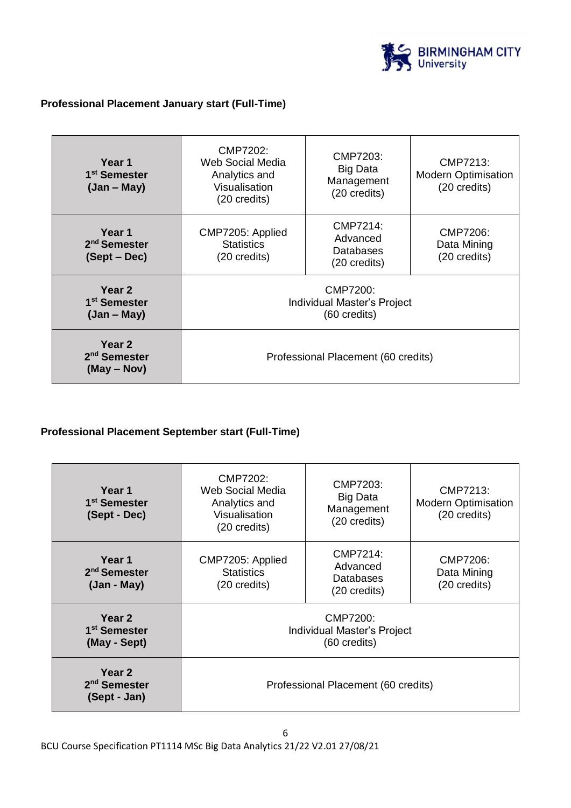

# **Professional Placement January start (Full-Time)**

| Year 1<br>1 <sup>st</sup> Semester<br>$(Jan - May)$ | CMP7202:<br>Web Social Media<br>Analytics and<br>Visualisation<br>(20 credits) | CMP7203:<br><b>Big Data</b><br>Management<br>(20 credits) | CMP7213:<br><b>Modern Optimisation</b><br>(20 credits) |
|-----------------------------------------------------|--------------------------------------------------------------------------------|-----------------------------------------------------------|--------------------------------------------------------|
| Year 1<br>2 <sup>nd</sup> Semester<br>(Sept – Dec)  | CMP7205: Applied<br><b>Statistics</b><br>(20 credits)                          | CMP7214:<br>Advanced<br>Databases<br>(20 credits)         | CMP7206:<br>Data Mining<br>(20 credits)                |
| Year 2<br>1 <sup>st</sup> Semester<br>$(Jan - May)$ | CMP7200:<br>Individual Master's Project<br>(60 credits)                        |                                                           |                                                        |
| Year 2<br>2 <sup>nd</sup> Semester<br>$(May - Nov)$ | Professional Placement (60 credits)                                            |                                                           |                                                        |

#### **Professional Placement September start (Full-Time)**

| Year 1<br>1 <sup>st</sup> Semester<br>(Sept - Dec) | CMP7202:<br>Web Social Media<br>Analytics and<br>Visualisation<br>(20 credits) | CMP7203:<br><b>Big Data</b><br>Management<br>(20 credits) | CMP7213:<br><b>Modern Optimisation</b><br>(20 credits) |
|----------------------------------------------------|--------------------------------------------------------------------------------|-----------------------------------------------------------|--------------------------------------------------------|
| Year 1<br>2 <sup>nd</sup> Semester<br>(Jan - May)  | CMP7205: Applied<br><b>Statistics</b><br>(20 credits)                          | CMP7214:<br>Advanced<br>Databases<br>(20 credits)         | CMP7206:<br>Data Mining<br>(20 credits)                |
| Year 2<br>1 <sup>st</sup> Semester<br>(May - Sept) | CMP7200:<br>Individual Master's Project<br>(60 credits)                        |                                                           |                                                        |
| Year 2<br>2 <sup>nd</sup> Semester<br>(Sept - Jan) | Professional Placement (60 credits)                                            |                                                           |                                                        |